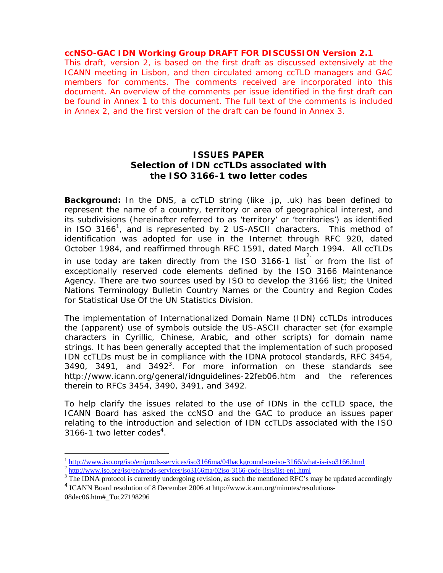#### **ccNSO-GAC IDN Working Group DRAFT FOR DISCUSSION Version 2.1**

This draft, version 2, is based on the first draft as discussed extensively at the ICANN meeting in Lisbon, and then circulated among ccTLD managers and GAC members for comments. The comments received are incorporated into this document. An overview of the comments per issue identified in the first draft can be found in Annex 1 to this document. The full text of the comments is included in Annex 2, and the first version of the draft can be found in Annex 3.

# **ISSUES PAPER Selection of IDN ccTLDs associated with the ISO 3166-1 two letter codes**

**Background:** In the DNS, a ccTLD string (like .jp, .uk) has been defined to represent the name of a country, territory or area of geographical interest, and its subdivisions (hereinafter referred to as 'territory' or 'territories') as identified in ISO 3166<sup>1</sup>, and is represented by 2 US-ASCII characters. This method of identification was adopted for use in the Internet through RFC 920, dated October 1984, and reaffirmed through RFC 1591, dated March 1994. All ccTLDs

in use today are taken directly from the ISO 3166-1 list or from the list of exceptionally reserved code elements defined by the ISO 3166 Maintenance Agency. There are two sources used by ISO to develop the 3166 list; the United Nations Terminology Bulletin *Country Names* or the *Country and Region Codes for Statistical Use* Of the UN Statistics Division.

The implementation of Internationalized Domain Name (IDN) ccTLDs introduces the (apparent) use of symbols outside the US-ASCII character set (for example characters in Cyrillic, Chinese, Arabic, and other scripts) for domain name strings. It has been generally accepted that the implementation of such proposed IDN ccTLDs must be in compliance with the IDNA protocol standards, RFC 3454, 3490, 3491, and  $3492<sup>3</sup>$ . For more information on these standards see http://www.icann.org/general/idnguidelines-22feb06.htm and the references therein to RFCs 3454, 3490, 3491, and 3492.

To help clarify the issues related to the use of IDNs in the ccTLD space, the ICANN Board has asked the ccNSO and the GAC to produce an issues paper relating to the introduction and selection of IDN ccTLDs associated with the ISO  $3166 - 1$  two letter codes<sup>4</sup>.

08dec06.htm#\_Toc27198296

 $\overline{a}$ 

 $\frac{1 \text{ http://www.iso.org/iso/en/prods-services/iso3166ma/04background-on-iso-3166/what-is-is03166.html}}{\frac{2 \text{ http://www.iso.org/iso/en/prods-services/iso3166ma/02iso-3166-code-lists/list-en1.html}}{\frac{3 \text{ The IDNA protocol is currently understanding a question of a method.}}{\frac{3 \text{ The IDNA protocol is the uncorceine}}{\frac{3 \text{ The IDNA.}}{\frac{3 \text{ The IDNA.}}{\frac{3 \text{ The IDNA.}}{\frac{3 \text{ The IDNA.}}{\frac{3 \text{ The IDNA.}}{\frac{3 \text{ The IDNA.}}{\frac{3 \text{ The$ 

 $\frac{1}{3}$  The IDNA protocol is currently undergoing revision, as such the mentioned RFC's may be updated accordingly

<sup>&</sup>lt;sup>4</sup> ICANN Board resolution of 8 December 2006 at http://www.icann.org/minutes/resolutions-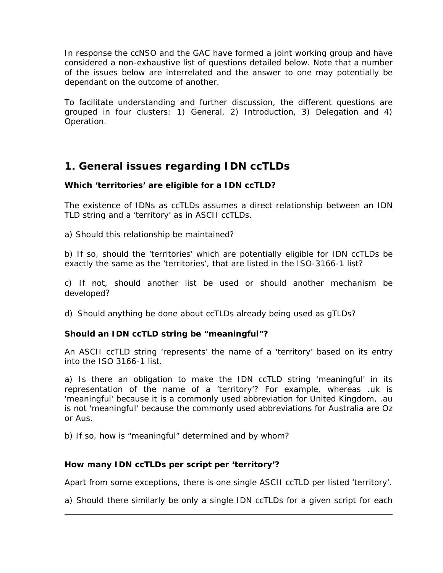In response the ccNSO and the GAC have formed a joint working group and have considered a non-exhaustive list of questions detailed below. Note that a number of the issues below are interrelated and the answer to one may potentially be dependant on the outcome of another.

To facilitate understanding and further discussion, the different questions are grouped in four clusters: 1) General, 2) Introduction, 3) Delegation and 4) Operation.

# **1. General issues regarding IDN ccTLDs**

#### **Which 'territories' are eligible for a IDN ccTLD?**

The existence of IDNs as ccTLDs assumes a direct relationship between an IDN TLD string and a 'territory' as in ASCII ccTLDs.

a) Should this relationship be maintained?

b) If so, should the 'territories' which are potentially eligible for IDN ccTLDs be exactly the same as the 'territories', that are listed in the ISO-3166-1 list?

c) If not, should another list be used or should another mechanism be developed?

d) Should anything be done about ccTLDs already being used as gTLDs?

## **Should an IDN ccTLD string be "meaningful"?**

An ASCII ccTLD string 'represents' the name of a 'territory' based on its entry into the ISO 3166-1 list.

a) Is there an obligation to make the IDN ccTLD string 'meaningful' in its representation of the name of a 'territory'? For example, whereas .uk is 'meaningful' because it is a commonly used abbreviation for United Kingdom, .au is not 'meaningful' because the commonly used abbreviations for Australia are Oz or Aus.

b) If so, how is "meaningful" determined and by whom?

## **How many IDN ccTLDs per script per 'territory'?**

 $\overline{a}$ 

Apart from some exceptions, there is one single ASCII ccTLD per listed 'territory'.

a) Should there similarly be only a single IDN ccTLDs for a given script for each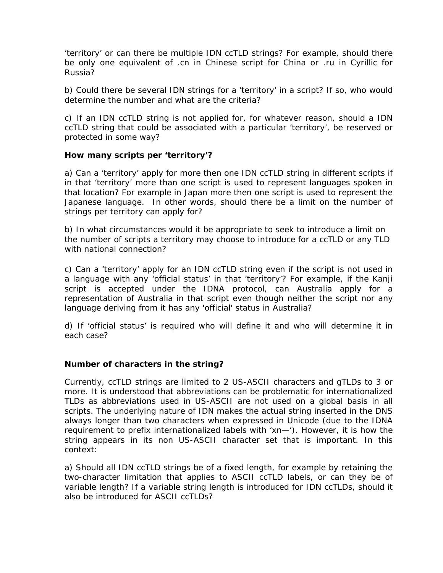'territory' or can there be multiple IDN ccTLD strings? For example, should there be only one equivalent of .cn in Chinese script for China or .ru in Cyrillic for Russia?

b) Could there be several IDN strings for a 'territory' in a script? If so, who would determine the number and what are the criteria?

c) If an IDN ccTLD string is not applied for, for whatever reason, should a IDN ccTLD string that could be associated with a particular 'territory', be reserved or protected in some way?

#### **How many scripts per 'territory'?**

a) Can a 'territory' apply for more then one IDN ccTLD string in different scripts if in that 'territory' more than one script is used to represent languages spoken in that location? For example in Japan more then one script is used to represent the Japanese language. In other words, should there be a limit on the number of strings per territory can apply for?

b) In what circumstances would it be appropriate to seek to introduce a limit on the number of scripts a territory may choose to introduce for a ccTLD or any TLD with national connection?

c) Can a 'territory' apply for an IDN ccTLD string even if the script is not used in a language with any 'official status' in that 'territory'? For example, if the Kanji script is accepted under the IDNA protocol, can Australia apply for a representation of Australia in that script even though neither the script nor any language deriving from it has any 'official' status in Australia?

d) If 'official status' is required who will define it and who will determine it in each case?

#### **Number of characters in the string?**

Currently, ccTLD strings are limited to 2 US-ASCII characters and gTLDs to 3 or more. It is understood that abbreviations can be problematic for internationalized TLDs as abbreviations used in US-ASCII are not used on a global basis in all scripts. The underlying nature of IDN makes the actual string inserted in the DNS always longer than two characters when expressed in Unicode (due to the IDNA requirement to prefix internationalized labels with 'xn—'). However, it is how the string appears in its non US-ASCII character set that is important. In this context:

a) Should all IDN ccTLD strings be of a fixed length, for example by retaining the two-character limitation that applies to ASCII ccTLD labels, or can they be of variable length? If a variable string length is introduced for IDN ccTLDs, should it also be introduced for ASCII ccTLDs?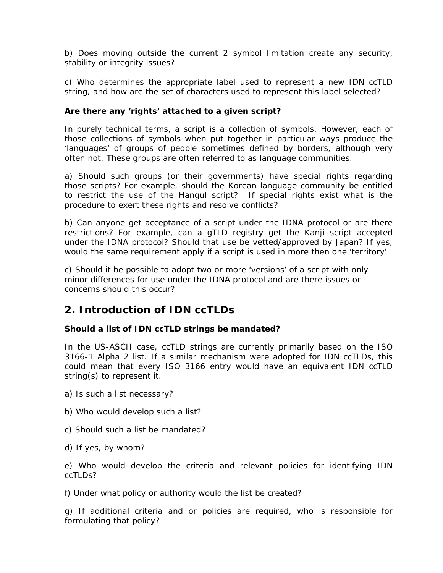b) Does moving outside the current 2 symbol limitation create any security, stability or integrity issues?

c) Who determines the appropriate label used to represent a new IDN ccTLD string, and how are the set of characters used to represent this label selected?

#### **Are there any 'rights' attached to a given script?**

In purely technical terms, a script is a collection of symbols. However, each of those collections of symbols when put together in particular ways produce the 'languages' of groups of people sometimes defined by borders, although very often not. These groups are often referred to as language communities.

a) Should such groups (or their governments) have special rights regarding those scripts? For example, should the Korean language community be entitled to restrict the use of the Hangul script? If special rights exist what is the procedure to exert these rights and resolve conflicts?

b) Can anyone get acceptance of a script under the IDNA protocol or are there restrictions? For example, can a gTLD registry get the Kanji script accepted under the IDNA protocol? Should that use be vetted/approved by Japan? If yes, would the same requirement apply if a script is used in more then one 'territory'

c) Should it be possible to adopt two or more 'versions' of a script with only minor differences for use under the IDNA protocol and are there issues or concerns should this occur?

# **2. Introduction of IDN ccTLDs**

## **Should a list of IDN ccTLD strings be mandated?**

In the US-ASCII case, ccTLD strings are currently primarily based on the ISO 3166-1 Alpha 2 list. If a similar mechanism were adopted for IDN ccTLDs, this could mean that every ISO 3166 entry would have an equivalent IDN ccTLD string(s) to represent it.

- a) Is such a list necessary?
- b) Who would develop such a list?
- c) Should such a list be mandated?
- d) If yes, by whom?

e) Who would develop the criteria and relevant policies for identifying IDN ccTLDs?

f) Under what policy or authority would the list be created?

g) If additional criteria and or policies are required, who is responsible for formulating that policy?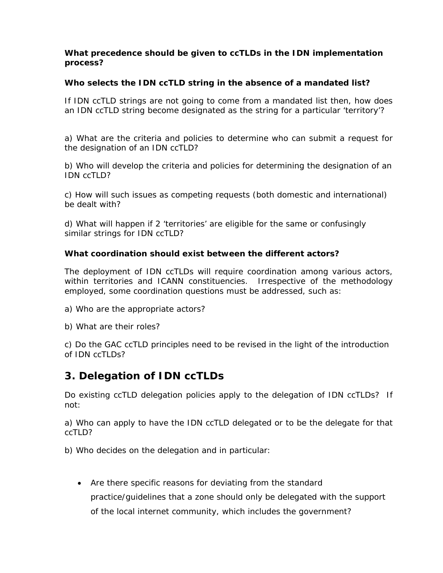#### **What precedence should be given to ccTLDs in the IDN implementation process?**

### **Who selects the IDN ccTLD string in the absence of a mandated list?**

If IDN ccTLD strings are not going to come from a mandated list then, how does an IDN ccTLD string become designated as the string for a particular 'territory'?

a) What are the criteria and policies to determine who can submit a request for the designation of an IDN ccTLD?

b) Who will develop the criteria and policies for determining the designation of an IDN ccTLD?

c) How will such issues as competing requests (both domestic and international) be dealt with?

d) What will happen if 2 'territories' are eligible for the same or confusingly similar strings for IDN ccTLD?

#### **What coordination should exist between the different actors?**

The deployment of IDN ccTLDs will require coordination among various actors, within territories and ICANN constituencies. Irrespective of the methodology employed, some coordination questions must be addressed, such as:

- a) Who are the appropriate actors?
- b) What are their roles?

c) Do the GAC ccTLD principles need to be revised in the light of the introduction of IDN ccTLDs?

# **3. Delegation of IDN ccTLDs**

Do existing ccTLD delegation policies apply to the delegation of IDN ccTLDs? If not:

a) Who can apply to have the IDN ccTLD delegated or to be the delegate for that ccTLD?

b) Who decides on the delegation and in particular:

• Are there specific reasons for deviating from the standard practice/guidelines that a zone should only be delegated with the support of the local internet community, which includes the government?